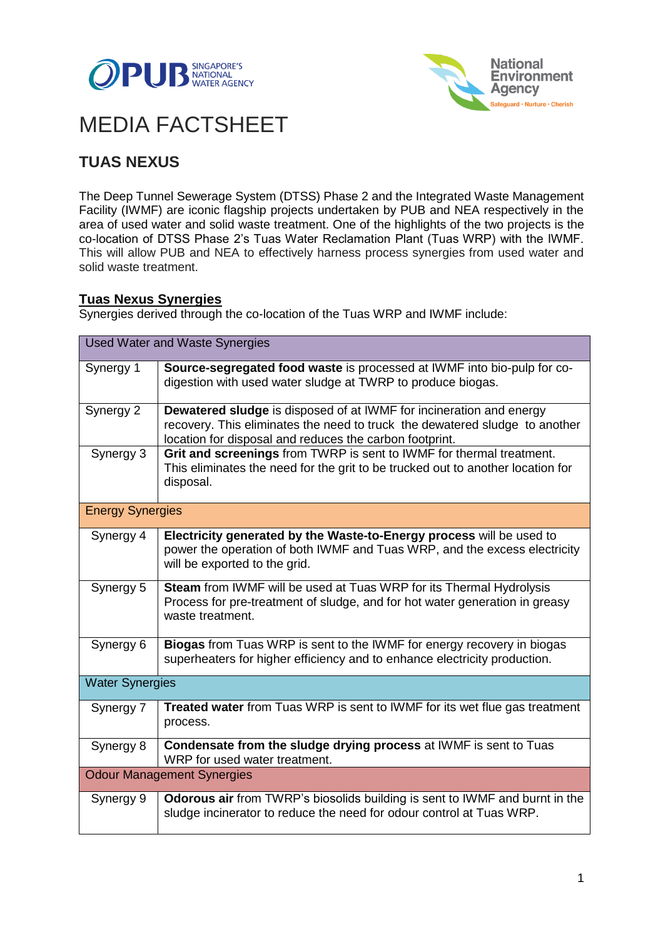



# MEDIA FACTSHEET

# **TUAS NEXUS**

The Deep Tunnel Sewerage System (DTSS) Phase 2 and the Integrated Waste Management Facility (IWMF) are iconic flagship projects undertaken by PUB and NEA respectively in the area of used water and solid waste treatment. One of the highlights of the two projects is the co-location of DTSS Phase 2's Tuas Water Reclamation Plant (Tuas WRP) with the IWMF. This will allow PUB and NEA to effectively harness process synergies from used water and solid waste treatment.

## **Tuas Nexus Synergies**

Synergies derived through the co-location of the Tuas WRP and IWMF include:

| <b>Used Water and Waste Synergies</b> |                                                                                                                                                                                                                      |  |  |
|---------------------------------------|----------------------------------------------------------------------------------------------------------------------------------------------------------------------------------------------------------------------|--|--|
| Synergy 1                             | Source-segregated food waste is processed at IWMF into bio-pulp for co-<br>digestion with used water sludge at TWRP to produce biogas.                                                                               |  |  |
| Synergy 2                             | <b>Dewatered sludge</b> is disposed of at IWMF for incineration and energy<br>recovery. This eliminates the need to truck the dewatered sludge to another<br>location for disposal and reduces the carbon footprint. |  |  |
| Synergy 3                             | Grit and screenings from TWRP is sent to IWMF for thermal treatment.<br>This eliminates the need for the grit to be trucked out to another location for<br>disposal.                                                 |  |  |
| <b>Energy Synergies</b>               |                                                                                                                                                                                                                      |  |  |
| Synergy 4                             | Electricity generated by the Waste-to-Energy process will be used to<br>power the operation of both IWMF and Tuas WRP, and the excess electricity<br>will be exported to the grid.                                   |  |  |
| Synergy 5                             | Steam from IWMF will be used at Tuas WRP for its Thermal Hydrolysis<br>Process for pre-treatment of sludge, and for hot water generation in greasy<br>waste treatment.                                               |  |  |
| Synergy 6                             | Biogas from Tuas WRP is sent to the IWMF for energy recovery in biogas<br>superheaters for higher efficiency and to enhance electricity production.                                                                  |  |  |
| <b>Water Synergies</b>                |                                                                                                                                                                                                                      |  |  |
| Synergy 7                             | <b>Treated water</b> from Tuas WRP is sent to IWMF for its wet flue gas treatment<br>process.                                                                                                                        |  |  |
| Synergy 8                             | Condensate from the sludge drying process at IWMF is sent to Tuas<br>WRP for used water treatment.                                                                                                                   |  |  |
| <b>Odour Management Synergies</b>     |                                                                                                                                                                                                                      |  |  |
| Synergy 9                             | Odorous air from TWRP's biosolids building is sent to IWMF and burnt in the<br>sludge incinerator to reduce the need for odour control at Tuas WRP.                                                                  |  |  |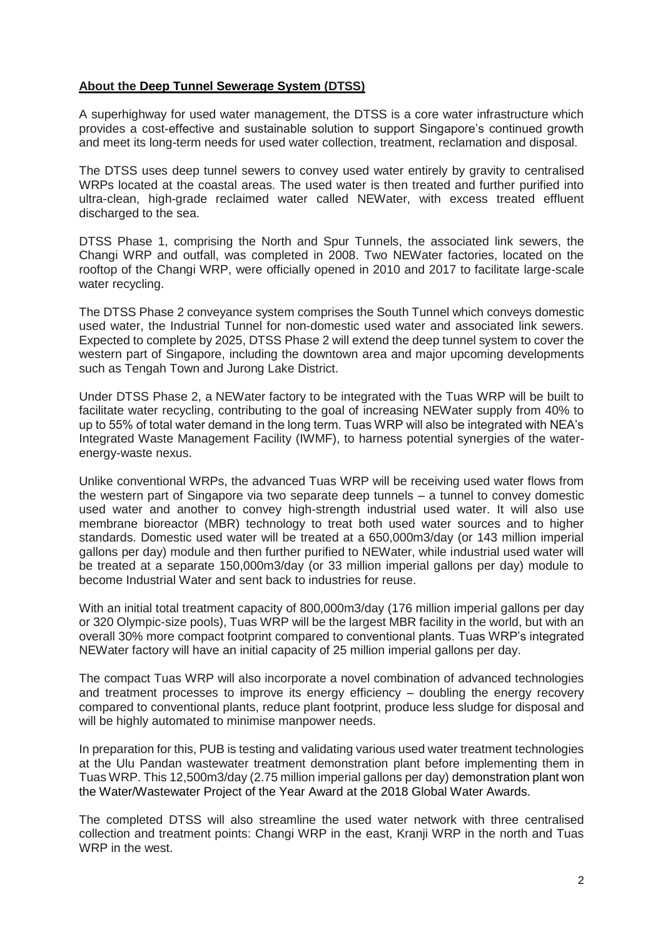### **About the Deep Tunnel Sewerage System (DTSS)**

A superhighway for used water management, the DTSS is a core water infrastructure which provides a cost-effective and sustainable solution to support Singapore's continued growth and meet its long-term needs for used water collection, treatment, reclamation and disposal.

The DTSS uses deep tunnel sewers to convey used water entirely by gravity to centralised WRPs located at the coastal areas. The used water is then treated and further purified into ultra-clean, high-grade reclaimed water called NEWater, with excess treated effluent discharged to the sea.

DTSS Phase 1, comprising the North and Spur Tunnels, the associated link sewers, the Changi WRP and outfall, was completed in 2008. Two NEWater factories, located on the rooftop of the Changi WRP, were officially opened in 2010 and 2017 to facilitate large-scale water recycling.

The DTSS Phase 2 conveyance system comprises the South Tunnel which conveys domestic used water, the Industrial Tunnel for non-domestic used water and associated link sewers. Expected to complete by 2025, DTSS Phase 2 will extend the deep tunnel system to cover the western part of Singapore, including the downtown area and major upcoming developments such as Tengah Town and Jurong Lake District.

Under DTSS Phase 2, a NEWater factory to be integrated with the Tuas WRP will be built to facilitate water recycling, contributing to the goal of increasing NEWater supply from 40% to up to 55% of total water demand in the long term. Tuas WRP will also be integrated with NEA's Integrated Waste Management Facility (IWMF), to harness potential synergies of the waterenergy-waste nexus.

Unlike conventional WRPs, the advanced Tuas WRP will be receiving used water flows from the western part of Singapore via two separate deep tunnels – a tunnel to convey domestic used water and another to convey high-strength industrial used water. It will also use membrane bioreactor (MBR) technology to treat both used water sources and to higher standards. Domestic used water will be treated at a 650,000m3/day (or 143 million imperial gallons per day) module and then further purified to NEWater, while industrial used water will be treated at a separate 150,000m3/day (or 33 million imperial gallons per day) module to become Industrial Water and sent back to industries for reuse.

With an initial total treatment capacity of 800,000m3/day (176 million imperial gallons per day or 320 Olympic-size pools), Tuas WRP will be the largest MBR facility in the world, but with an overall 30% more compact footprint compared to conventional plants. Tuas WRP's integrated NEWater factory will have an initial capacity of 25 million imperial gallons per day.

The compact Tuas WRP will also incorporate a novel combination of advanced technologies and treatment processes to improve its energy efficiency – doubling the energy recovery compared to conventional plants, reduce plant footprint, produce less sludge for disposal and will be highly automated to minimise manpower needs.

In preparation for this, PUB is testing and validating various used water treatment technologies at the Ulu Pandan wastewater treatment demonstration plant before implementing them in Tuas WRP. This 12,500m3/day (2.75 million imperial gallons per day) demonstration plant won the Water/Wastewater Project of the Year Award at the 2018 Global Water Awards.

The completed DTSS will also streamline the used water network with three centralised collection and treatment points: Changi WRP in the east, Kranji WRP in the north and Tuas WRP in the west.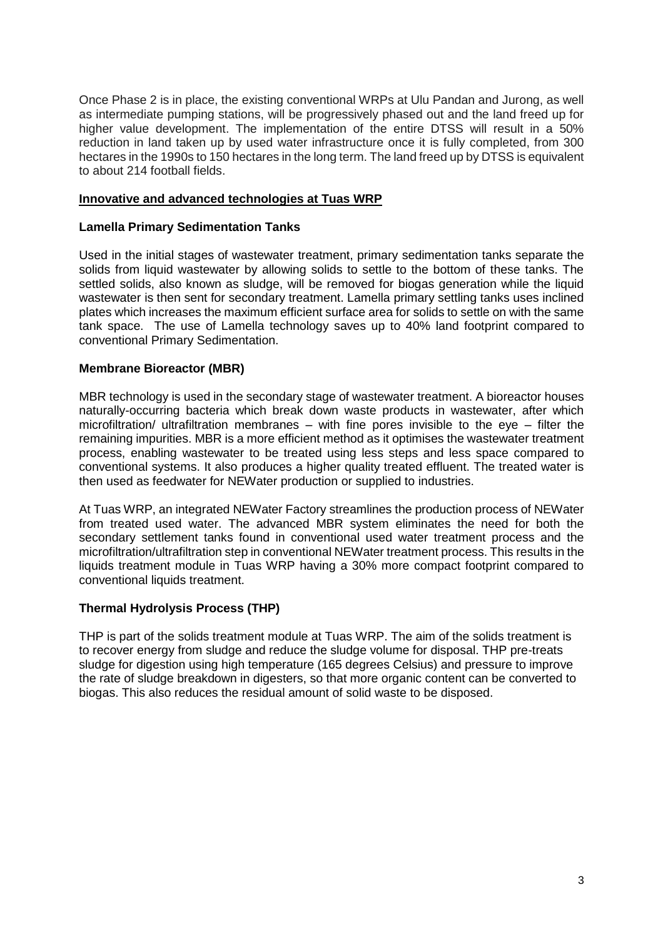Once Phase 2 is in place, the existing conventional WRPs at Ulu Pandan and Jurong, as well as intermediate pumping stations, will be progressively phased out and the land freed up for higher value development. The implementation of the entire DTSS will result in a 50% reduction in land taken up by used water infrastructure once it is fully completed, from 300 hectares in the 1990s to 150 hectares in the long term. The land freed up by DTSS is equivalent to about 214 football fields.

### **Innovative and advanced technologies at Tuas WRP**

### **Lamella Primary Sedimentation Tanks**

Used in the initial stages of wastewater treatment, primary sedimentation tanks separate the solids from liquid wastewater by allowing solids to settle to the bottom of these tanks. The settled solids, also known as sludge, will be removed for biogas generation while the liquid wastewater is then sent for secondary treatment. Lamella primary settling tanks uses inclined plates which increases the maximum efficient surface area for solids to settle on with the same tank space. The use of Lamella technology saves up to 40% land footprint compared to conventional Primary Sedimentation.

### **Membrane Bioreactor (MBR)**

MBR technology is used in the secondary stage of wastewater treatment. A bioreactor houses naturally-occurring bacteria which break down waste products in wastewater, after which microfiltration/ ultrafiltration membranes – with fine pores invisible to the eye – filter the remaining impurities. MBR is a more efficient method as it optimises the wastewater treatment process, enabling wastewater to be treated using less steps and less space compared to conventional systems. It also produces a higher quality treated effluent. The treated water is then used as feedwater for NEWater production or supplied to industries.

At Tuas WRP, an integrated NEWater Factory streamlines the production process of NEWater from treated used water. The advanced MBR system eliminates the need for both the secondary settlement tanks found in conventional used water treatment process and the microfiltration/ultrafiltration step in conventional NEWater treatment process. This results in the liquids treatment module in Tuas WRP having a 30% more compact footprint compared to conventional liquids treatment.

### **Thermal Hydrolysis Process (THP)**

THP is part of the solids treatment module at Tuas WRP. The aim of the solids treatment is to recover energy from sludge and reduce the sludge volume for disposal. THP pre-treats sludge for digestion using high temperature (165 degrees Celsius) and pressure to improve the rate of sludge breakdown in digesters, so that more organic content can be converted to biogas. This also reduces the residual amount of solid waste to be disposed.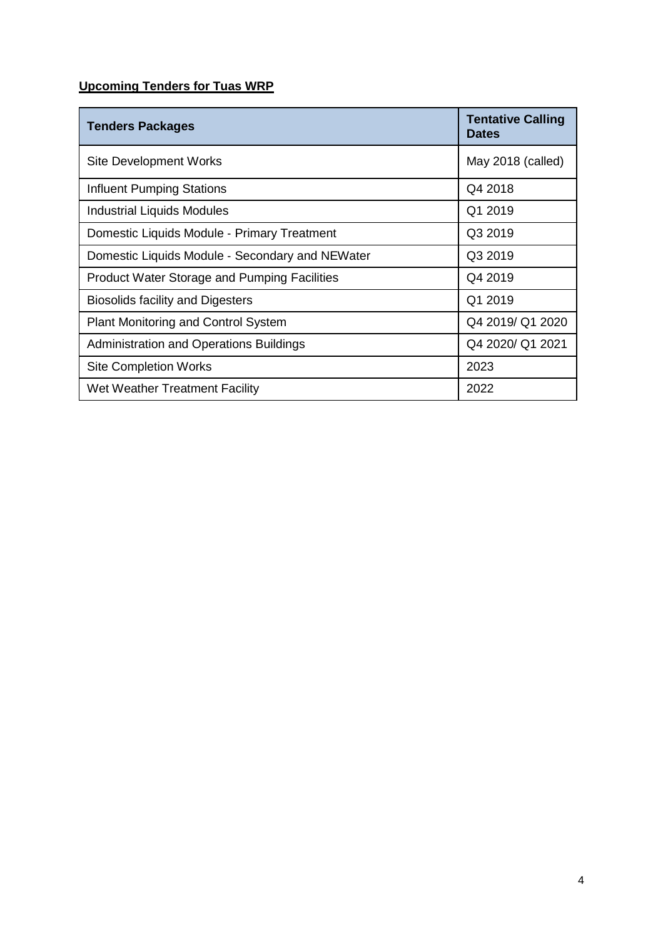# **Upcoming Tenders for Tuas WRP**

| <b>Tenders Packages</b>                             | <b>Tentative Calling</b><br><b>Dates</b> |
|-----------------------------------------------------|------------------------------------------|
| <b>Site Development Works</b>                       | May 2018 (called)                        |
| <b>Influent Pumping Stations</b>                    | Q4 2018                                  |
| Industrial Liquids Modules                          | Q1 2019                                  |
| Domestic Liquids Module - Primary Treatment         | Q3 2019                                  |
| Domestic Liquids Module - Secondary and NEWater     | Q3 2019                                  |
| <b>Product Water Storage and Pumping Facilities</b> | Q4 2019                                  |
| <b>Biosolids facility and Digesters</b>             | Q1 2019                                  |
| Plant Monitoring and Control System                 | Q4 2019/ Q1 2020                         |
| <b>Administration and Operations Buildings</b>      | Q4 2020/ Q1 2021                         |
| <b>Site Completion Works</b>                        | 2023                                     |
| Wet Weather Treatment Facility                      | 2022                                     |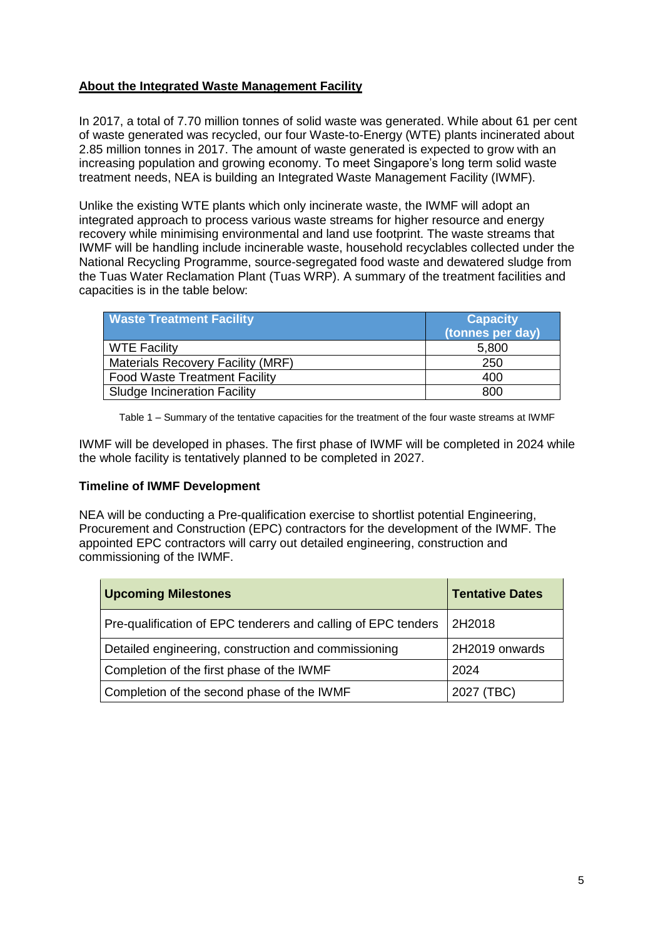# **About the Integrated Waste Management Facility**

In 2017, a total of 7.70 million tonnes of solid waste was generated. While about 61 per cent of waste generated was recycled, our four Waste-to-Energy (WTE) plants incinerated about 2.85 million tonnes in 2017. The amount of waste generated is expected to grow with an increasing population and growing economy. To meet Singapore's long term solid waste treatment needs, NEA is building an Integrated Waste Management Facility (IWMF).

Unlike the existing WTE plants which only incinerate waste, the IWMF will adopt an integrated approach to process various waste streams for higher resource and energy recovery while minimising environmental and land use footprint. The waste streams that IWMF will be handling include incinerable waste, household recyclables collected under the National Recycling Programme, source-segregated food waste and dewatered sludge from the Tuas Water Reclamation Plant (Tuas WRP). A summary of the treatment facilities and capacities is in the table below:

| <b>Waste Treatment Facility</b>          | <b>Capacity</b><br>(tonnes per day) |
|------------------------------------------|-------------------------------------|
| <b>WTE Facility</b>                      | 5,800                               |
| <b>Materials Recovery Facility (MRF)</b> | 250                                 |
| <b>Food Waste Treatment Facility</b>     | 400                                 |
| <b>Sludge Incineration Facility</b>      | 800                                 |

Table 1 – Summary of the tentative capacities for the treatment of the four waste streams at IWMF

IWMF will be developed in phases. The first phase of IWMF will be completed in 2024 while the whole facility is tentatively planned to be completed in 2027.

### **Timeline of IWMF Development**

NEA will be conducting a Pre-qualification exercise to shortlist potential Engineering, Procurement and Construction (EPC) contractors for the development of the IWMF. The appointed EPC contractors will carry out detailed engineering, construction and commissioning of the IWMF.

| <b>Upcoming Milestones</b>                                    | <b>Tentative Dates</b> |
|---------------------------------------------------------------|------------------------|
| Pre-qualification of EPC tenderers and calling of EPC tenders | 2H2018                 |
| Detailed engineering, construction and commissioning          | 2H2019 onwards         |
| Completion of the first phase of the IWMF                     | 2024                   |
| Completion of the second phase of the IWMF                    | 2027 (TBC)             |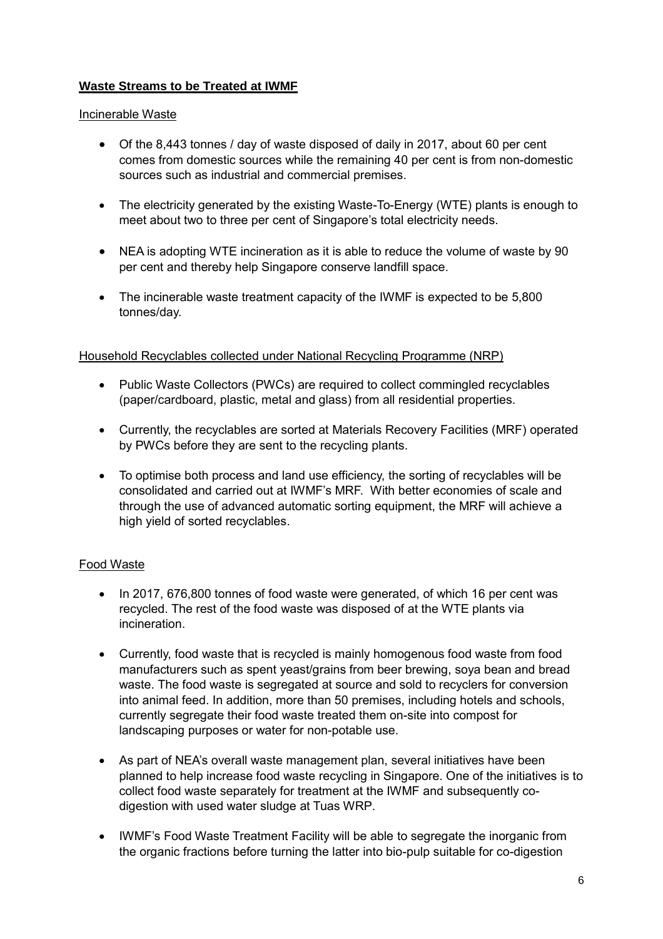# **Waste Streams to be Treated at IWMF**

### Incinerable Waste

- Of the 8,443 tonnes / day of waste disposed of daily in 2017, about 60 per cent comes from domestic sources while the remaining 40 per cent is from non-domestic sources such as industrial and commercial premises.
- The electricity generated by the existing Waste-To-Energy (WTE) plants is enough to meet about two to three per cent of Singapore's total electricity needs.
- NEA is adopting WTE incineration as it is able to reduce the volume of waste by 90 per cent and thereby help Singapore conserve landfill space.
- The incinerable waste treatment capacity of the IWMF is expected to be 5,800 tonnes/day.

### Household Recyclables collected under National Recycling Programme (NRP)

- Public Waste Collectors (PWCs) are required to collect commingled recyclables (paper/cardboard, plastic, metal and glass) from all residential properties.
- Currently, the recyclables are sorted at Materials Recovery Facilities (MRF) operated by PWCs before they are sent to the recycling plants.
- To optimise both process and land use efficiency, the sorting of recyclables will be consolidated and carried out at IWMF's MRF. With better economies of scale and through the use of advanced automatic sorting equipment, the MRF will achieve a high yield of sorted recyclables.

### Food Waste

- In 2017, 676,800 tonnes of food waste were generated, of which 16 per cent was recycled. The rest of the food waste was disposed of at the WTE plants via incineration.
- Currently, food waste that is recycled is mainly homogenous food waste from food manufacturers such as spent yeast/grains from beer brewing, soya bean and bread waste. The food waste is segregated at source and sold to recyclers for conversion into animal feed. In addition, more than 50 premises, including hotels and schools, currently segregate their food waste treated them on-site into compost for landscaping purposes or water for non-potable use.
- As part of NEA's overall waste management plan, several initiatives have been planned to help increase food waste recycling in Singapore. One of the initiatives is to collect food waste separately for treatment at the IWMF and subsequently codigestion with used water sludge at Tuas WRP.
- IWMF's Food Waste Treatment Facility will be able to segregate the inorganic from the organic fractions before turning the latter into bio-pulp suitable for co-digestion